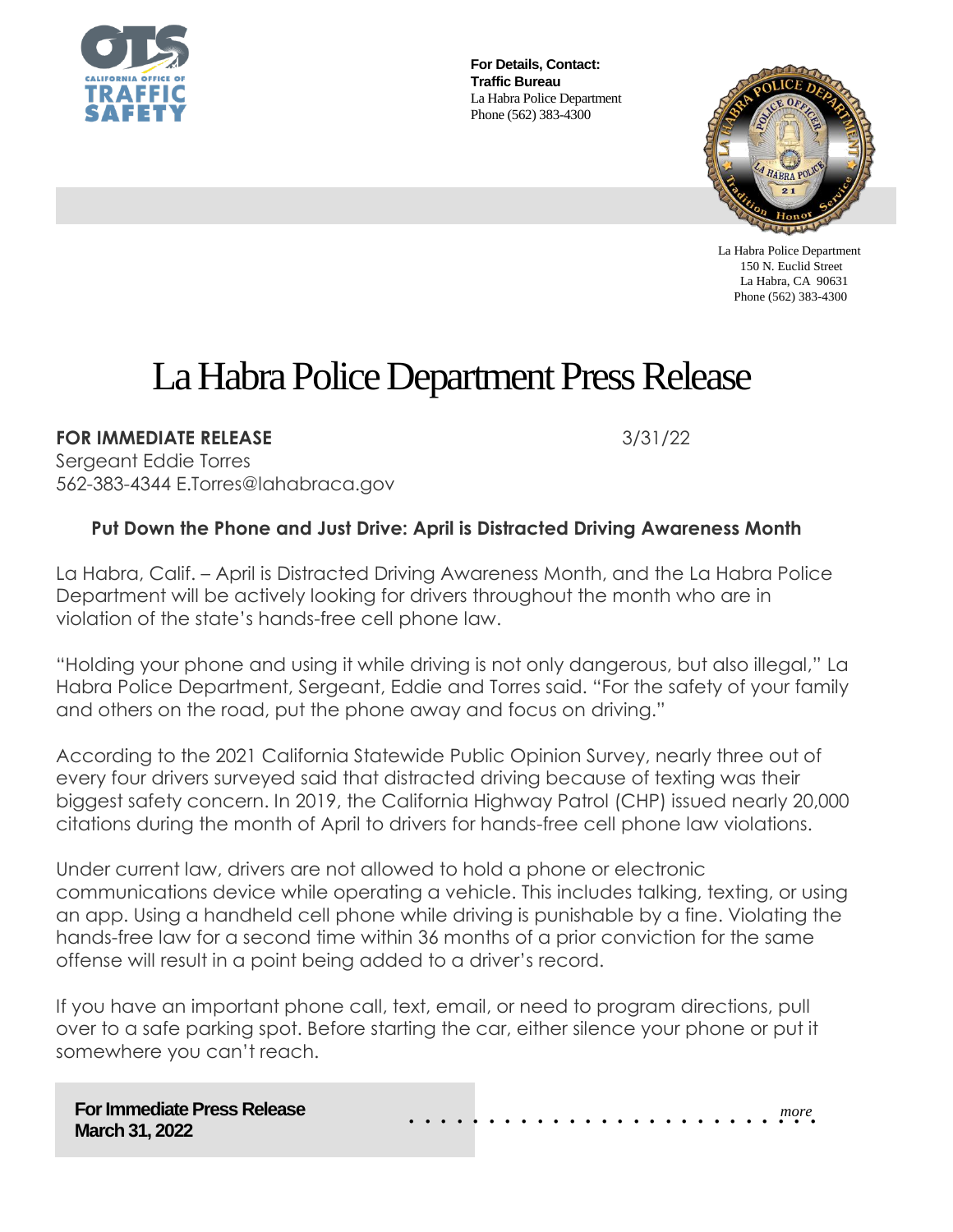

**For Details, Contact: Traffic Bureau** La Habra Police Department Phone (562) 383-4300



 La Habra Police Department 150 N. Euclid Street La Habra, CA 90631 Phone (562) 383-4300

## La Habra Police Department Press Release

**FOR IMMEDIATE RELEASE 3/31/22** 

Sergeant Eddie Torres 562-383-4344 E.Torres@lahabraca.gov

## **Put Down the Phone and Just Drive: April is Distracted Driving Awareness Month**

La Habra, Calif. – April is Distracted Driving Awareness Month, and the La Habra Police Department will be actively looking for drivers throughout the month who are in violation of the state's hands-free cell phone law.

"Holding your phone and using it while driving is not only dangerous, but also illegal," La Habra Police Department, Sergeant, Eddie and Torres said. "For the safety of your family and others on the road, put the phone away and focus on driving."

According to the 2021 California Statewide Public Opinion Survey, nearly three out of every four drivers surveyed said that distracted driving because of texting was their biggest safety concern. In 2019, the California Highway Patrol (CHP) issued nearly 20,000 citations during the month of April to drivers for hands-free cell phone law violations.

Under current law, drivers are not allowed to hold a phone or electronic communications device while operating a vehicle. This includes talking, texting, or using an app. Using a handheld cell phone while driving is punishable by a fine. Violating the hands-free law for a second time within 36 months of a prior conviction for the same offense will result in a point being added to a driver's record.

If you have an important phone call, text, email, or need to program directions, pull over to a safe parking spot. Before starting the car, either silence your phone or put it somewhere you can't reach.

**For Immediate Press Release March 31, 2022**

*more* . . . . . . . . . . . . . . . . . . . . . . . . . .